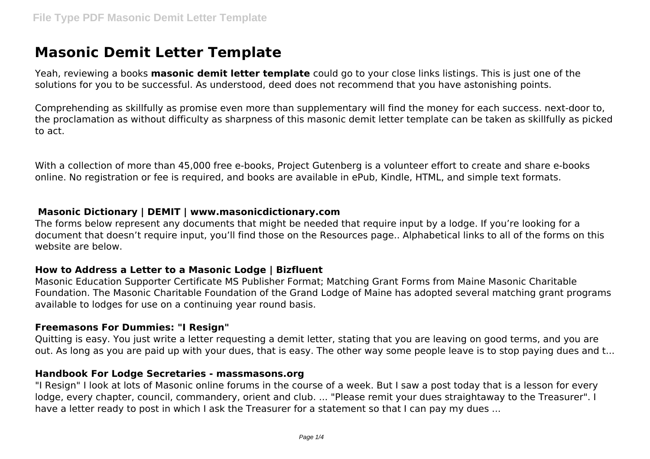# **Masonic Demit Letter Template**

Yeah, reviewing a books **masonic demit letter template** could go to your close links listings. This is just one of the solutions for you to be successful. As understood, deed does not recommend that you have astonishing points.

Comprehending as skillfully as promise even more than supplementary will find the money for each success. next-door to, the proclamation as without difficulty as sharpness of this masonic demit letter template can be taken as skillfully as picked to act.

With a collection of more than 45,000 free e-books, Project Gutenberg is a volunteer effort to create and share e-books online. No registration or fee is required, and books are available in ePub, Kindle, HTML, and simple text formats.

### **Masonic Dictionary | DEMIT | www.masonicdictionary.com**

The forms below represent any documents that might be needed that require input by a lodge. If you're looking for a document that doesn't require input, you'll find those on the Resources page.. Alphabetical links to all of the forms on this website are below.

### **How to Address a Letter to a Masonic Lodge | Bizfluent**

Masonic Education Supporter Certificate MS Publisher Format; Matching Grant Forms from Maine Masonic Charitable Foundation. The Masonic Charitable Foundation of the Grand Lodge of Maine has adopted several matching grant programs available to lodges for use on a continuing year round basis.

### **Freemasons For Dummies: "I Resign"**

Quitting is easy. You just write a letter requesting a demit letter, stating that you are leaving on good terms, and you are out. As long as you are paid up with your dues, that is easy. The other way some people leave is to stop paying dues and t...

### **Handbook For Lodge Secretaries - massmasons.org**

"I Resign" I look at lots of Masonic online forums in the course of a week. But I saw a post today that is a lesson for every lodge, every chapter, council, commandery, orient and club. ... "Please remit your dues straightaway to the Treasurer". I have a letter ready to post in which I ask the Treasurer for a statement so that I can pay my dues ...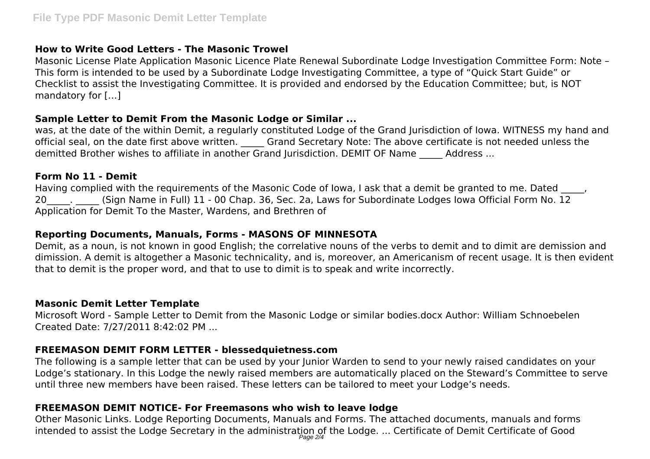# **How to Write Good Letters - The Masonic Trowel**

Masonic License Plate Application Masonic Licence Plate Renewal Subordinate Lodge Investigation Committee Form: Note – This form is intended to be used by a Subordinate Lodge Investigating Committee, a type of "Quick Start Guide" or Checklist to assist the Investigating Committee. It is provided and endorsed by the Education Committee; but, is NOT mandatory for […]

# **Sample Letter to Demit From the Masonic Lodge or Similar ...**

was, at the date of the within Demit, a regularly constituted Lodge of the Grand Jurisdiction of Iowa. WITNESS my hand and official seal, on the date first above written. Grand Secretary Note: The above certificate is not needed unless the demitted Brother wishes to affiliate in another Grand Jurisdiction. DEMIT OF Name Address ...

# **Form No 11 - Demit**

Having complied with the requirements of the Masonic Code of Iowa, I ask that a demit be granted to me. Dated 20 [Sign Name in Full) 11 - 00 Chap. 36, Sec. 2a, Laws for Subordinate Lodges Iowa Official Form No. 12 Application for Demit To the Master, Wardens, and Brethren of

# **Reporting Documents, Manuals, Forms - MASONS OF MINNESOTA**

Demit, as a noun, is not known in good English; the correlative nouns of the verbs to demit and to dimit are demission and dimission. A demit is altogether a Masonic technicality, and is, moreover, an Americanism of recent usage. It is then evident that to demit is the proper word, and that to use to dimit is to speak and write incorrectly.

# **Masonic Demit Letter Template**

Microsoft Word - Sample Letter to Demit from the Masonic Lodge or similar bodies.docx Author: William Schnoebelen Created Date: 7/27/2011 8:42:02 PM ...

# **FREEMASON DEMIT FORM LETTER - blessedquietness.com**

The following is a sample letter that can be used by your Junior Warden to send to your newly raised candidates on your Lodge's stationary. In this Lodge the newly raised members are automatically placed on the Steward's Committee to serve until three new members have been raised. These letters can be tailored to meet your Lodge's needs.

# **FREEMASON DEMIT NOTICE- For Freemasons who wish to leave lodge**

Other Masonic Links. Lodge Reporting Documents, Manuals and Forms. The attached documents, manuals and forms intended to assist the Lodge Secretary in the administration of the Lodge. … Certificate of Demit Certificate of Good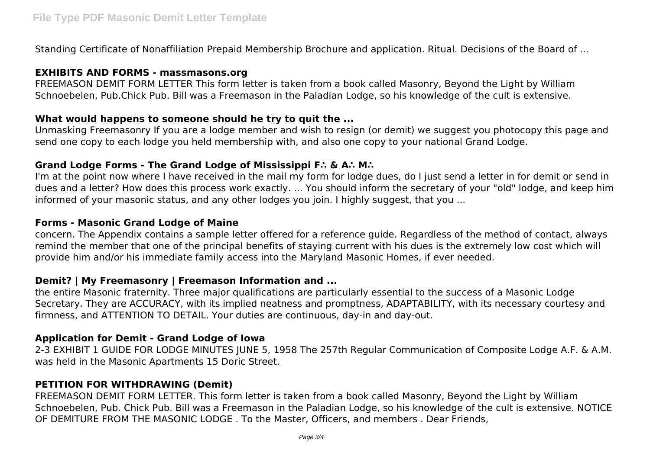Standing Certificate of Nonaffiliation Prepaid Membership Brochure and application. Ritual. Decisions of the Board of ...

### **EXHIBITS AND FORMS - massmasons.org**

FREEMASON DEMIT FORM LETTER This form letter is taken from a book called Masonry, Beyond the Light by William Schnoebelen, Pub.Chick Pub. Bill was a Freemason in the Paladian Lodge, so his knowledge of the cult is extensive.

### **What would happens to someone should he try to quit the ...**

Unmasking Freemasonry If you are a lodge member and wish to resign (or demit) we suggest you photocopy this page and send one copy to each lodge you held membership with, and also one copy to your national Grand Lodge.

### **Grand Lodge Forms - The Grand Lodge of Mississippi F∴ & A∴ M∴**

I'm at the point now where I have received in the mail my form for lodge dues, do I just send a letter in for demit or send in dues and a letter? How does this process work exactly. ... You should inform the secretary of your "old" lodge, and keep him informed of your masonic status, and any other lodges you join. I highly suggest, that you ...

### **Forms - Masonic Grand Lodge of Maine**

concern. The Appendix contains a sample letter offered for a reference guide. Regardless of the method of contact, always remind the member that one of the principal benefits of staying current with his dues is the extremely low cost which will provide him and/or his immediate family access into the Maryland Masonic Homes, if ever needed.

### **Demit? | My Freemasonry | Freemason Information and ...**

the entire Masonic fraternity. Three major qualifications are particularly essential to the success of a Masonic Lodge Secretary. They are ACCURACY, with its implied neatness and promptness, ADAPTABILITY, with its necessary courtesy and firmness, and ATTENTION TO DETAIL. Your duties are continuous, day-in and day-out.

### **Application for Demit - Grand Lodge of Iowa**

2-3 EXHIBIT 1 GUIDE FOR LODGE MINUTES JUNE 5, 1958 The 257th Regular Communication of Composite Lodge A.F. & A.M. was held in the Masonic Apartments 15 Doric Street.

### **PETITION FOR WITHDRAWING (Demit)**

FREEMASON DEMIT FORM LETTER. This form letter is taken from a book called Masonry, Beyond the Light by William Schnoebelen, Pub. Chick Pub. Bill was a Freemason in the Paladian Lodge, so his knowledge of the cult is extensive. NOTICE OF DEMITURE FROM THE MASONIC LODGE . To the Master, Officers, and members . Dear Friends,